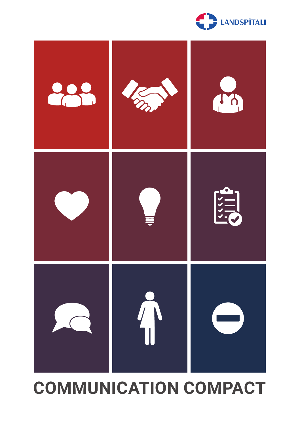



# **COMMUNICATION COMPACT**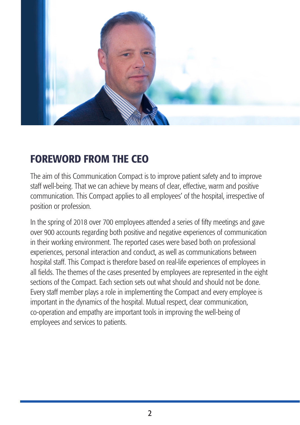

## FOREWORD FROM THE CEO

The aim of this Communication Compact is to improve patient safety and to improve staff well-being. That we can achieve by means of clear, effective, warm and positive communication. This Compact applies to all employees' of the hospital, irrespective of position or profession.

In the spring of 2018 over 700 employees attended a series of fifty meetings and gave over 900 accounts regarding both positive and negative experiences of communication in their working environment. The reported cases were based both on professional experiences, personal interaction and conduct, as well as communications between hospital staff. This Compact is therefore based on real-life experiences of employees in all fields. The themes of the cases presented by employees are represented in the eight sections of the Compact. Each section sets out what should and should not be done. Every staff member plays a role in implementing the Compact and every employee is important in the dynamics of the hospital. Mutual respect, clear communication, co-operation and empathy are important tools in improving the well-being of employees and services to patients.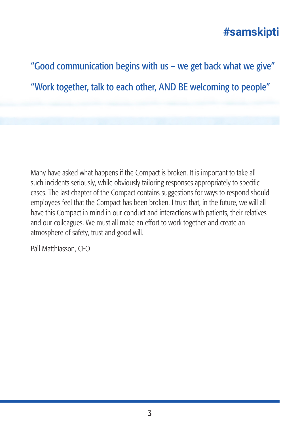"Good communication begins with us – we get back what we give" "Work together, talk to each other, AND BE welcoming to people"

Many have asked what happens if the Compact is broken. It is important to take all such incidents seriously, while obviously tailoring responses appropriately to specific cases. The last chapter of the Compact contains suggestions for ways to respond should employees feel that the Compact has been broken. I trust that, in the future, we will all have this Compact in mind in our conduct and interactions with patients, their relatives and our colleagues. We must all make an effort to work together and create an atmosphere of safety, trust and good will.

Páll Matthíasson, CEO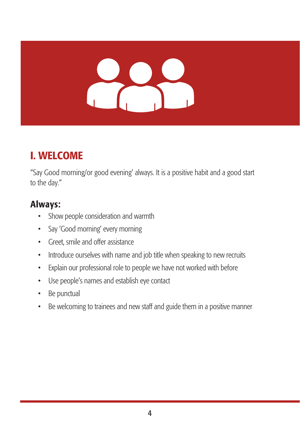# HAP.

# I. WELCOME

"Say Good morning/or good evening' always. It is a positive habit and a good start to the day."

- Show people consideration and warmth
- Say 'Good morning' every morning
- Greet, smile and offer assistance
- Introduce ourselves with name and job title when speaking to new recruits
- Explain our professional role to people we have not worked with before
- Use people's names and establish eye contact
- Be punctual
- Be welcoming to trainees and new staff and guide them in a positive manner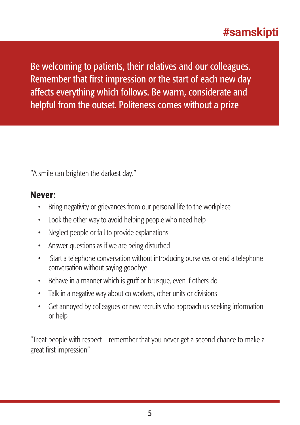Be welcoming to patients, their relatives and our colleagues. Remember that first impression or the start of each new day affects everything which follows. Be warm, considerate and helpful from the outset. Politeness comes without a prize

"A smile can brighten the darkest day."

#### Never:

- Bring negativity or grievances from our personal life to the workplace
- Look the other way to avoid helping people who need help
- Neglect people or fail to provide explanations
- Answer questions as if we are being disturbed
- Start a telephone conversation without introducing ourselves or end a telephone conversation without saying goodbye
- Behave in a manner which is gruff or brusque, even if others do
- Talk in a negative way about co workers, other units or divisions
- Get annoyed by colleagues or new recruits who approach us seeking information or help

"Treat people with respect – remember that you never get a second chance to make a great first impression"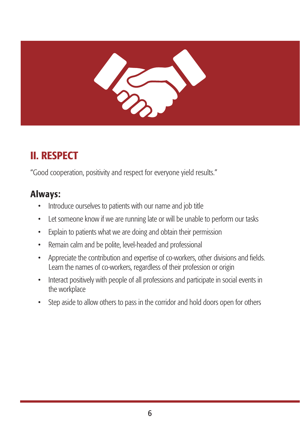

# II. RESPECT

"Good cooperation, positivity and respect for everyone yield results."

- Introduce ourselves to patients with our name and job title
- Let someone know if we are running late or will be unable to perform our tasks
- Explain to patients what we are doing and obtain their permission
- Remain calm and be polite, level-headed and professional
- Appreciate the contribution and expertise of co-workers, other divisions and fields. Learn the names of co-workers, regardless of their profession or origin
- Interact positively with people of all professions and participate in social events in the workplace
- Step aside to allow others to pass in the corridor and hold doors open for others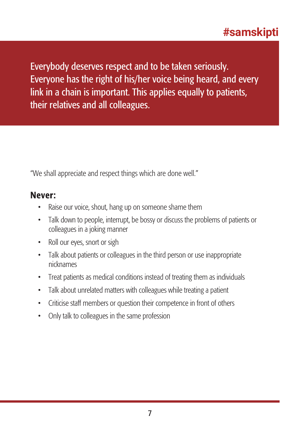Everybody deserves respect and to be taken seriously. Everyone has the right of his/her voice being heard, and every link in a chain is important. This applies equally to patients, their relatives and all colleagues.

"We shall appreciate and respect things which are done well."

- Raise our voice, shout, hang up on someone shame them
- Talk down to people, interrupt, be bossy or discuss the problems of patients or colleagues in a joking manner
- Roll our eyes, snort or sigh
- Talk about patients or colleagues in the third person or use inappropriate nicknames
- Treat patients as medical conditions instead of treating them as individuals
- Talk about unrelated matters with colleagues while treating a patient
- Criticise staff members or question their competence in front of others
- Only talk to colleagues in the same profession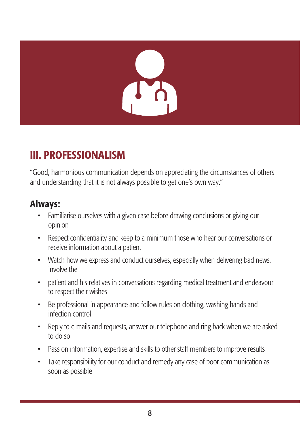# III. PROFESSIONALISM

"Good, harmonious communication depends on appreciating the circumstances of others and understanding that it is not always possible to get one's own way."

- Familiarise ourselves with a given case before drawing conclusions or giving our opinion
- Respect confidentiality and keep to a minimum those who hear our conversations or receive information about a patient
- Watch how we express and conduct ourselves, especially when delivering bad news. Involve the
- patient and his relatives in conversations regarding medical treatment and endeavour to respect their wishes
- Be professional in appearance and follow rules on clothing, washing hands and infection control
- Reply to e-mails and requests, answer our telephone and ring back when we are asked to do so
- Pass on information, expertise and skills to other staff members to improve results
- Take responsibility for our conduct and remedy any case of poor communication as soon as possible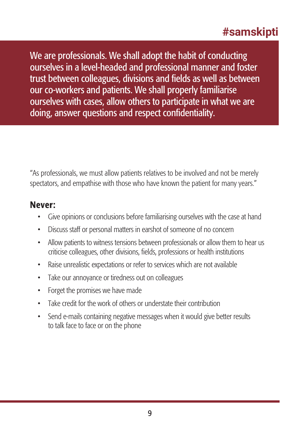We are professionals. We shall adopt the habit of conducting ourselves in a level-headed and professional manner and foster trust between colleagues, divisions and fields as well as between our co-workers and patients. We shall properly familiarise ourselves with cases, allow others to participate in what we are doing, answer questions and respect confidentiality.

"As professionals, we must allow patients relatives to be involved and not be merely spectators, and empathise with those who have known the patient for many years."

- Give opinions or conclusions before familiarising ourselves with the case at hand
- Discuss staff or personal matters in earshot of someone of no concern
- Allow patients to witness tensions between professionals or allow them to hear us criticise colleagues, other divisions, fields, professions or health institutions
- Raise unrealistic expectations or refer to services which are not available
- Take our annoyance or tiredness out on colleagues
- Forget the promises we have made
- Take credit for the work of others or understate their contribution
- Send e-mails containing negative messages when it would give better results to talk face to face or on the phone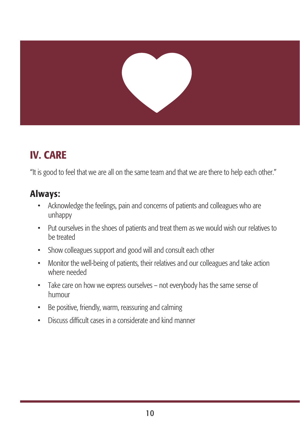

# IV. CARE

"It is good to feel that we are all on the same team and that we are there to help each other."

- Acknowledge the feelings, pain and concerns of patients and colleagues who are unhappy
- Put ourselves in the shoes of patients and treat them as we would wish our relatives to be treated
- Show colleagues support and good will and consult each other
- Monitor the well-being of patients, their relatives and our colleagues and take action where needed
- Take care on how we express ourselves not everybody has the same sense of humour
- Be positive, friendly, warm, reassuring and calming
- Discuss difficult cases in a considerate and kind manner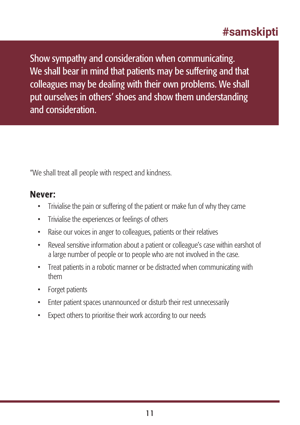Show sympathy and consideration when communicating. We shall bear in mind that patients may be suffering and that colleagues may be dealing with their own problems. We shall put ourselves in others' shoes and show them understanding and consideration.

"We shall treat all people with respect and kindness.

- Trivialise the pain or suffering of the patient or make fun of why they came
- Trivialise the experiences or feelings of others
- Raise our voices in anger to colleagues, patients or their relatives
- Reveal sensitive information about a patient or colleague's case within earshot of a large number of people or to people who are not involved in the case.
- Treat patients in a robotic manner or be distracted when communicating with them
- Forget patients
- Enter patient spaces unannounced or disturb their rest unnecessarily
- Expect others to prioritise their work according to our needs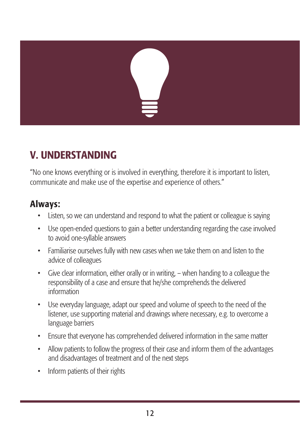# V. UNDERSTANDING

"No one knows everything or is involved in everything, therefore it is important to listen, communicate and make use of the expertise and experience of others."

- Listen, so we can understand and respond to what the patient or colleague is saying
- Use open-ended questions to gain a better understanding regarding the case involved to avoid one-syllable answers
- Familiarise ourselves fully with new cases when we take them on and listen to the advice of colleagues
- Give clear information, either orally or in writing, when handing to a colleague the responsibility of a case and ensure that he/she comprehends the delivered information
- Use everyday language, adapt our speed and volume of speech to the need of the listener, use supporting material and drawings where necessary, e.g. to overcome a language barriers
- Ensure that everyone has comprehended delivered information in the same matter
- Allow patients to follow the progress of their case and inform them of the advantages and disadvantages of treatment and of the next steps
- Inform patients of their rights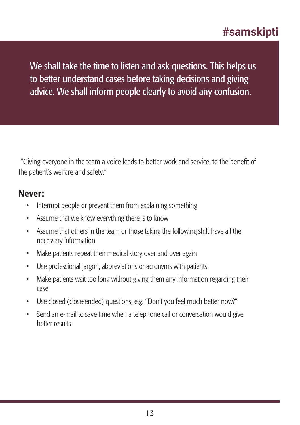We shall take the time to listen and ask questions. This helps us to better understand cases before taking decisions and giving advice. We shall inform people clearly to avoid any confusion.

"Giving everyone in the team a voice leads to better work and service, to the benefit of the patient's welfare and safety."

- Interrupt people or prevent them from explaining something
- Assume that we know everything there is to know
- Assume that others in the team or those taking the following shift have all the necessary information
- Make patients repeat their medical story over and over again
- Use professional jargon, abbreviations or acronyms with patients
- Make patients wait too long without giving them any information regarding their case
- Use closed (close-ended) questions, e.g. "Don't you feel much better now?"
- Send an e-mail to save time when a telephone call or conversation would give better results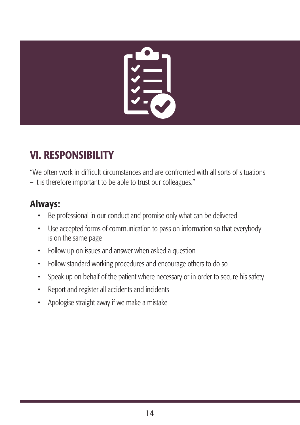

# VI. RESPONSIBILITY

"We often work in difficult circumstances and are confronted with all sorts of situations – it is therefore important to be able to trust our colleagues."

- Be professional in our conduct and promise only what can be delivered
- Use accepted forms of communication to pass on information so that everybody is on the same page
- Follow up on issues and answer when asked a question
- Follow standard working procedures and encourage others to do so
- Speak up on behalf of the patient where necessary or in order to secure his safety
- Report and register all accidents and incidents
- Apologise straight away if we make a mistake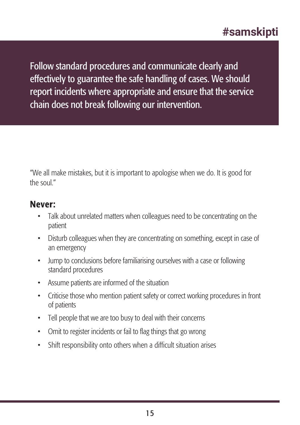Follow standard procedures and communicate clearly and effectively to guarantee the safe handling of cases. We should report incidents where appropriate and ensure that the service chain does not break following our intervention.

"We all make mistakes, but it is important to apologise when we do. It is good for the soul"

- Talk about unrelated matters when colleagues need to be concentrating on the patient
- Disturb colleagues when they are concentrating on something, except in case of an emergency
- Jump to conclusions before familiarising ourselves with a case or following standard procedures
- Assume patients are informed of the situation
- Criticise those who mention patient safety or correct working procedures in front of patients
- Tell people that we are too busy to deal with their concerns
- Omit to register incidents or fail to flag things that go wrong
- Shift responsibility onto others when a difficult situation arises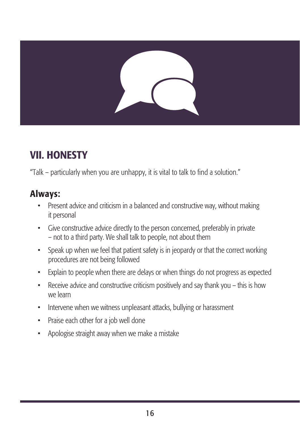# VII. HONESTY

"Talk – particularly when you are unhappy, it is vital to talk to find a solution."

- Present advice and criticism in a balanced and constructive way, without making it personal
- Give constructive advice directly to the person concerned, preferably in private – not to a third party. We shall talk to people, not about them
- Speak up when we feel that patient safety is in jeopardy or that the correct working procedures are not being followed
- Explain to people when there are delays or when things do not progress as expected
- Receive advice and constructive criticism positively and say thank you this is how we learn
- Intervene when we witness unpleasant attacks, bullying or harassment
- Praise each other for a job well done
- Apologise straight away when we make a mistake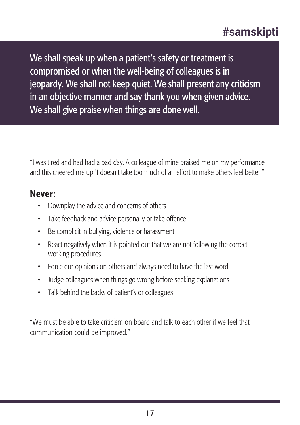We shall speak up when a patient's safety or treatment is compromised or when the well-being of colleagues is in jeopardy. We shall not keep quiet. We shall present any criticism in an objective manner and say thank you when given advice. We shall give praise when things are done well.

"I was tired and had had a bad day. A colleague of mine praised me on my performance and this cheered me up It doesn't take too much of an effort to make others feel better."

#### Never:

- Downplay the advice and concerns of others
- Take feedback and advice personally or take offence
- Be complicit in bullying, violence or harassment
- React negatively when it is pointed out that we are not following the correct working procedures
- Force our opinions on others and always need to have the last word
- Judge colleagues when things go wrong before seeking explanations
- Talk behind the backs of patient's or colleagues

"We must be able to take criticism on board and talk to each other if we feel that communication could be improved."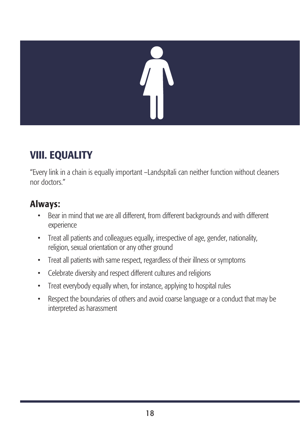# VIII. EQUALITY

"Every link in a chain is equally important –Landspítali can neither function without cleaners nor doctors."

- Bear in mind that we are all different, from different backgrounds and with different experience
- Treat all patients and colleagues equally, irrespective of age, gender, nationality, religion, sexual orientation or any other ground
- Treat all patients with same respect, regardless of their illness or symptoms
- Celebrate diversity and respect different cultures and religions
- Treat everybody equally when, for instance, applying to hospital rules
- Respect the boundaries of others and avoid coarse language or a conduct that may be interpreted as harassment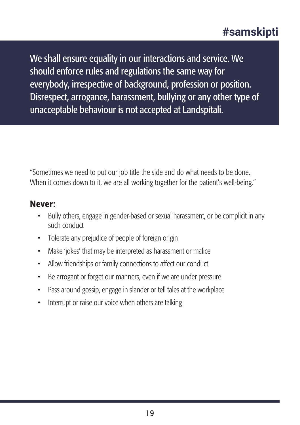We shall ensure equality in our interactions and service. We should enforce rules and regulations the same way for everybody, irrespective of background, profession or position. Disrespect, arrogance, harassment, bullying or any other type of unacceptable behaviour is not accepted at Landspítali.

"Sometimes we need to put our job title the side and do what needs to be done. When it comes down to it, we are all working together for the patient's well-being."

- Bully others, engage in gender-based or sexual harassment, or be complicit in any such conduct
- Tolerate any prejudice of people of foreign origin
- Make 'jokes' that may be interpreted as harassment or malice
- Allow friendships or family connections to affect our conduct
- Be arrogant or forget our manners, even if we are under pressure
- Pass around gossip, engage in slander or tell tales at the workplace
- Interrupt or raise our voice when others are talking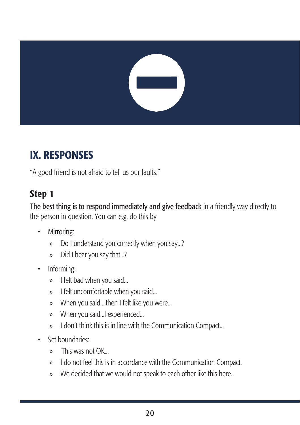# IX. RESPONSES

"A good friend is not afraid to tell us our faults."

# Step 1

The best thing is to respond immediately and give feedback in a friendly way directly to the person in question. You can e.g. do this by

- Mirroring:
	- » Do I understand you correctly when you say...?
	- » Did I hear you say that...?
- Informing:
	- » I felt bad when you said...
	- » I felt uncomfortable when you said...
	- » When you said....then I felt like you were...
	- » When you said...I experienced...
	- » I don't think this is in line with the Communication Compact...
- Set boundaries:
	- $\triangleright$  This was not OK.
	- » I do not feel this is in accordance with the Communication Compact.
	- » We decided that we would not speak to each other like this here.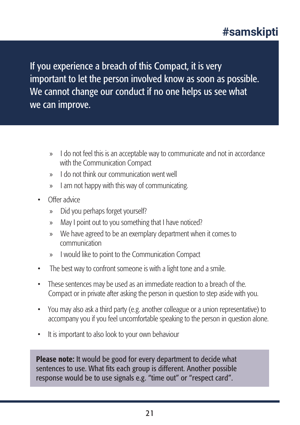If you experience a breach of this Compact, it is very important to let the person involved know as soon as possible. We cannot change our conduct if no one helps us see what we can improve.

- » I do not feel this is an acceptable way to communicate and not in accordance with the Communication Compact
- » I do not think our communication went well
- » I am not happy with this way of communicating.
- Offer advice
	- » Did you perhaps forget yourself?
	- » May I point out to you something that I have noticed?
	- » We have agreed to be an exemplary department when it comes to communication
	- » I would like to point to the Communication Compact
- The best way to confront someone is with a light tone and a smile.
- These sentences may be used as an immediate reaction to a breach of the. Compact or in private after asking the person in question to step aside with you.
- You may also ask a third party (e.g. another colleague or a union representative) to accompany you if you feel uncomfortable speaking to the person in question alone.
- It is important to also look to your own behaviour

Please note: It would be good for every department to decide what sentences to use. What fits each group is different. Another possible response would be to use signals e.g. "time out" or "respect card".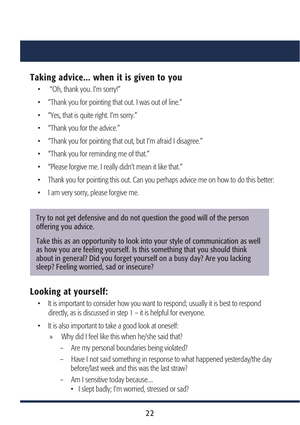#### Taking advice... when it is given to you

- "Oh, thank you. I'm sorry!"
- "Thank you for pointing that out. I was out of line."
- "Yes, that is quite right. I'm sorry."
- "Thank you for the advice."
- "Thank you for pointing that out, but I'm afraid I disagree."
- "Thank you for reminding me of that."
- "Please forgive me. I really didn't mean it like that."
- Thank you for pointing this out. Can you perhaps advice me on how to do this better:
- I am very sorry, please forgive me.

Try to not get defensive and do not question the good will of the person offering you advice.

Take this as an opportunity to look into your style of communication as well as how you are feeling yourself. Is this something that you should think about in general? Did you forget yourself on a busy day? Are you lacking sleep? Feeling worried, sad or insecure?

#### Looking at yourself:

- It is important to consider how you want to respond; usually it is best to respond directly, as is discussed in step 1 – it is helpful for everyone.
- It is also important to take a good look at oneself:
	- » Why did I feel like this when he/she said that?
		- Are my personal boundaries being violated?
		- Have I not said something in response to what happened yesterday/the day before/last week and this was the last straw?
		- Am I sensitive today because....
			- I slept badly; I'm worried, stressed or sad?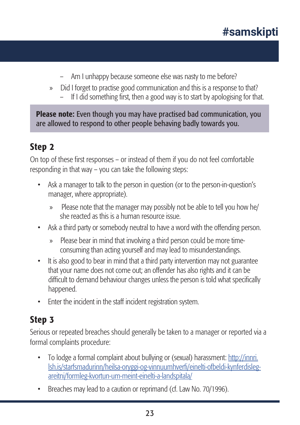- Am I unhappy because someone else was nasty to me before?
- » Did I forget to practise good communication and this is a response to that?
	- If I did something first, then a good way is to start by apologising for that.

Please note: Even though you may have practised bad communication, you are allowed to respond to other people behaving badly towards you.

#### Step 2

On top of these first responses – or instead of them if you do not feel comfortable responding in that way – you can take the following steps:

- Ask a manager to talk to the person in question (or to the person-in-question's manager, where appropriate).
	- » Please note that the manager may possibly not be able to tell you how he/ she reacted as this is a human resource issue.
- Ask a third party or somebody neutral to have a word with the offending person.
	- » Please bear in mind that involving a third person could be more timeconsuming than acting yourself and may lead to misunderstandings.
- It is also good to bear in mind that a third party intervention may not guarantee that your name does not come out; an offender has also rights and it can be difficult to demand behaviour changes unless the person is told what specifically happened.
- Enter the incident in the staff incident registration system.

## Step 3

Serious or repeated breaches should generally be taken to a manager or reported via a formal complaints procedure:

- To lodge a formal complaint about bullying or (sexual) harassment: http://innri. lsh.is/starfsmadurinn/heilsa-oryggi-og-vinnuumhverfi/einelti-ofbeldi-kynferdislegareitni/formleg-kvortun-um-meint-einelti-a-landspitala/
- Breaches may lead to a caution or reprimand (cf. Law No. 70/1996).